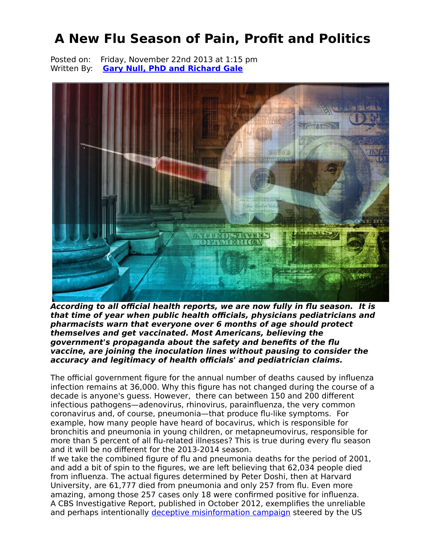# **A New Flu Season of Pain, Profit and Politics**

Posted on: Friday, November 22nd 2013 at 1:15 pm Written By: **[Gary Null, PhD and Richard Gale](http://www.greenmedinfo.com/gmi-blogs/rgale@garynull.com)**



**According to all official health reports, we are now fully in flu season. It is that time of year when public health officials, physicians pediatricians and pharmacists warn that everyone over 6 months of age should protect themselves and get vaccinated. Most Americans, believing the government's propaganda about the safety and benefits of the flu vaccine, are joining the inoculation lines without pausing to consider the accuracy and legitimacy of health officials' and pediatrician claims.** 

The official government figure for the annual number of deaths caused by influenza infection remains at 36,000. Why this figure has not changed during the course of a decade is anyone's guess. However, there can between 150 and 200 different infectious pathogens—adenovirus, rhinovirus, parainfluenza, the very common coronavirus and, of course, pneumonia—that produce flu-like symptoms. For example, how many people have heard of bocavirus, which is responsible for bronchitis and pneumonia in young children, or metapneumovirus, responsible for more than 5 percent of all flu-related illnesses? This is true during every flu season and it will be no different for the 2013-2014 season.

If we take the combined figure of flu and pneumonia deaths for the period of 2001, and add a bit of spin to the figures, we are left believing that 62,034 people died from influenza. The actual figures determined by Peter Doshi, then at Harvard University, are 61,777 died from pneumonia and only 257 from flu. Even more amazing, among those 257 cases only 18 were confirmed positive for influenza. A CBS Investigative Report, published in October 2012, exemplifies the unreliable and perhaps intentionally [deceptive misinformation campaign](http://www.greenmedinfo.com/blog/how-government%E2%80%99s-vaccine-policy-infected-corruption-1) steered by the US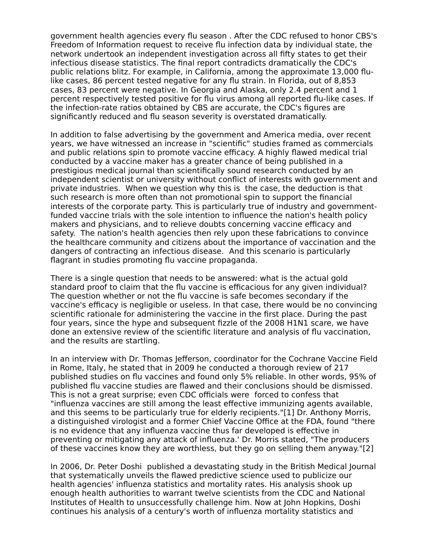government health agencies every flu season . After the CDC refused to honor CBS's Freedom of Information request to receive flu infection data by individual state, the network undertook an independent investigation across all fifty states to get their infectious disease statistics. The final report contradicts dramatically the CDC's public relations blitz. For example, in California, among the approximate 13,000 flulike cases, 86 percent tested negative for any flu strain. In Florida, out of 8,853 cases, 83 percent were negative. In Georgia and Alaska, only 2.4 percent and 1 percent respectively tested positive for flu virus among all reported flu-like cases. If the infection-rate ratios obtained by CBS are accurate, the CDC's figures are significantly reduced and flu season severity is overstated dramatically.

In addition to false advertising by the government and America media, over recent years, we have witnessed an increase in "scientific" studies framed as commercials and public relations spin to promote vaccine efficacy. A highly flawed medical trial conducted by a vaccine maker has a greater chance of being published in a prestigious medical journal than scientifically sound research conducted by an independent scientist or university without conflict of interests with government and private industries. When we question why this is the case, the deduction is that such research is more often than not promotional spin to support the financial interests of the corporate party. This is particularly true of industry and governmentfunded vaccine trials with the sole intention to influence the nation's health policy makers and physicians, and to relieve doubts concerning vaccine efficacy and safety. The nation's health agencies then rely upon these fabrications to convince the healthcare community and citizens about the importance of vaccination and the dangers of contracting an infectious disease. And this scenario is particularly flagrant in studies promoting flu vaccine propaganda.

There is a single question that needs to be answered: what is the actual gold standard proof to claim that the flu vaccine is efficacious for any given individual? The question whether or not the flu vaccine is safe becomes secondary if the vaccine's efficacy is negligible or useless. In that case, there would be no convincing scientific rationale for administering the vaccine in the first place. During the past four years, since the hype and subsequent fizzle of the 2008 H1N1 scare, we have done an extensive review of the scientific literature and analysis of flu vaccination, and the results are startling.

In an interview with Dr. Thomas Jefferson, coordinator for the Cochrane Vaccine Field in Rome, Italy, he stated that in 2009 he conducted a thorough review of 217 published studies on flu vaccines and found only 5% reliable. In other words, 95% of published flu vaccine studies are flawed and their conclusions should be dismissed. This is not a great surprise; even CDC officials were forced to confess that "influenza vaccines are still among the least effective immunizing agents available, and this seems to be particularly true for elderly recipients."[1] Dr. Anthony Morris, a distinguished virologist and a former Chief Vaccine Office at the FDA, found "there is no evidence that any influenza vaccine thus far developed is effective in preventing or mitigating any attack of influenza.' Dr. Morris stated, "The producers of these vaccines know they are worthless, but they go on selling them anyway."[2]

In 2006, Dr. Peter Doshi published a devastating study in the British Medical Journal that systematically unveils the flawed predictive science used to publicize our health agencies' influenza statistics and mortality rates. His analysis shook up enough health authorities to warrant twelve scientists from the CDC and National Institutes of Health to unsuccessfully challenge him. Now at John Hopkins, Doshi continues his analysis of a century's worth of influenza mortality statistics and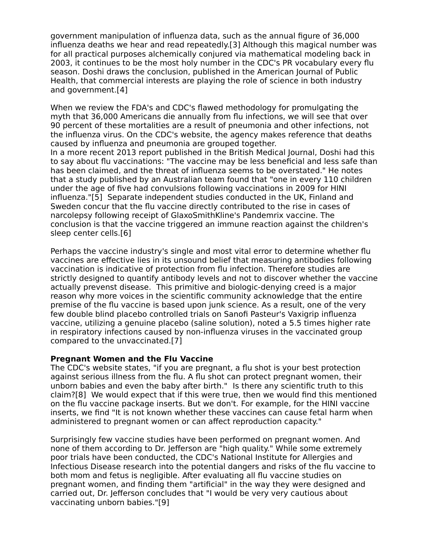government manipulation of influenza data, such as the annual figure of 36,000 influenza deaths we hear and read repeatedly.[3] Although this magical number was for all practical purposes alchemically conjured via mathematical modeling back in 2003, it continues to be the most holy number in the CDC's PR vocabulary every flu season. Doshi draws the conclusion, published in the American Journal of Public Health, that commercial interests are playing the role of science in both industry and government.[4]

When we review the FDA's and CDC's flawed methodology for promulgating the myth that 36,000 Americans die annually from flu infections, we will see that over 90 percent of these mortalities are a result of pneumonia and other infections, not the influenza virus. On the CDC's website, the agency makes reference that deaths caused by influenza and pneumonia are grouped together.

In a more recent 2013 report published in the British Medical Journal, Doshi had this to say about flu vaccinations: "The vaccine may be less beneficial and less safe than has been claimed, and the threat of influenza seems to be overstated." He notes that a study published by an Australian team found that "one in every 110 children under the age of five had convulsions following vaccinations in 2009 for HINI influenza."[5] Separate independent studies conducted in the UK, Finland and Sweden concur that the flu vaccine directly contributed to the rise in cases of narcolepsy following receipt of GlaxoSmithKline's Pandemrix vaccine. The conclusion is that the vaccine triggered an immune reaction against the children's sleep center cells.[6]

Perhaps the vaccine industry's single and most vital error to determine whether flu vaccines are effective lies in its unsound belief that measuring antibodies following vaccination is indicative of protection from flu infection. Therefore studies are strictly designed to quantify antibody levels and not to discover whether the vaccine actually prevenst disease. This primitive and biologic-denying creed is a major reason why more voices in the scientific community acknowledge that the entire premise of the flu vaccine is based upon junk science. As a result, one of the very few double blind placebo controlled trials on Sanofi Pasteur's Vaxigrip influenza vaccine, utilizing a genuine placebo (saline solution), noted a 5.5 times higher rate in respiratory infections caused by non-influenza viruses in the vaccinated group compared to the unvaccinated.[7]

#### **Pregnant Women and the Flu Vaccine**

The CDC's website states, "if you are pregnant, a flu shot is your best protection against serious illness from the flu. A flu shot can protect pregnant women, their unborn babies and even the baby after birth." Is there any scientific truth to this claim?[8] We would expect that if this were true, then we would find this mentioned on the flu vaccine package inserts. But we don't. For example, for the HINI vaccine inserts, we find "It is not known whether these vaccines can cause fetal harm when administered to pregnant women or can affect reproduction capacity."

Surprisingly few vaccine studies have been performed on pregnant women. And none of them according to Dr. Jefferson are "high quality." While some extremely poor trials have been conducted, the CDC's National Institute for Allergies and Infectious Disease research into the potential dangers and risks of the flu vaccine to both mom and fetus is negligible. After evaluating all flu vaccine studies on pregnant women, and finding them "artificial" in the way they were designed and carried out, Dr. Jefferson concludes that "I would be very very cautious about vaccinating unborn babies."[9]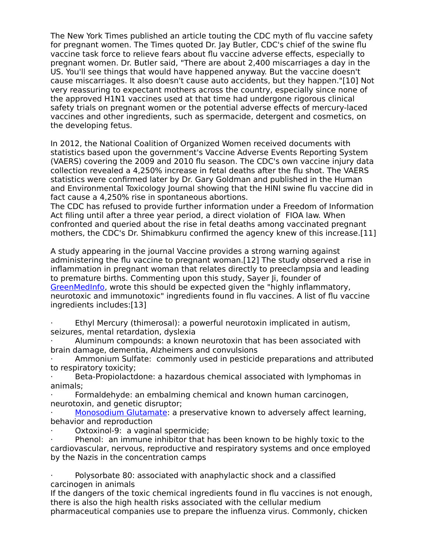The New York Times published an article touting the CDC myth of flu vaccine safety for pregnant women. The Times quoted Dr. Jay Butler, CDC's chief of the swine flu vaccine task force to relieve fears about flu vaccine adverse effects, especially to pregnant women. Dr. Butler said, "There are about 2,400 miscarriages a day in the US. You'll see things that would have happened anyway. But the vaccine doesn't cause miscarriages. It also doesn't cause auto accidents, but they happen."[10] Not very reassuring to expectant mothers across the country, especially since none of the approved H1N1 vaccines used at that time had undergone rigorous clinical safety trials on pregnant women or the potential adverse effects of mercury-laced vaccines and other ingredients, such as spermacide, detergent and cosmetics, on the developing fetus.

In 2012, the National Coalition of Organized Women received documents with statistics based upon the government's Vaccine Adverse Events Reporting System (VAERS) covering the 2009 and 2010 flu season. The CDC's own vaccine injury data collection revealed a 4,250% increase in fetal deaths after the flu shot. The VAERS statistics were confirmed later by Dr. Gary Goldman and published in the Human and Environmental Toxicology Journal showing that the HINI swine flu vaccine did in fact cause a 4,250% rise in spontaneous abortions.

The CDC has refused to provide further information under a Freedom of Information Act filing until after a three year period, a direct violation of FIOA law. When confronted and queried about the rise in fetal deaths among vaccinated pregnant mothers, the CDC's Dr. Shimabkuru confirmed the agency knew of this increase.[11]

A study appearing in the journal Vaccine provides a strong warning against administering the flu vaccine to pregnant woman.[12] The study observed a rise in inflammation in pregnant woman that relates directly to preeclampsia and leading to premature births. Commenting upon this study, Sayer Ji, founder of [GreenMedInfo,](http://www.greenmedinfo.com/) wrote this should be expected given the "highly inflammatory, neurotoxic and immunotoxic" ingredients found in flu vaccines. A list of flu vaccine ingredients includes:[13]

· Ethyl Mercury (thimerosal): a powerful neurotoxin implicated in autism, seizures, mental retardation, dyslexia

· Aluminum compounds: a known neurotoxin that has been associated with brain damage, dementia, Alzheimers and convulsions

· Ammonium Sulfate: commonly used in pesticide preparations and attributed to respiratory toxicity;

· Beta-Propiolactdone: a hazardous chemical associated with lymphomas in animals;

· Formaldehyde: an embalming chemical and known human carcinogen, neurotoxin, and genetic disruptor;

[Monosodium Glutamate:](http://www.greenmedinfo.com/toxic-ingredient/monosodium-glutamate-msg) a preservative known to adversely affect learning, behavior and reproduction

Oxtoxinol-9: a vaginal spermicide;

Phenol: an immune inhibitor that has been known to be highly toxic to the cardiovascular, nervous, reproductive and respiratory systems and once employed by the Nazis in the concentration camps

Polysorbate 80: associated with anaphylactic shock and a classified carcinogen in animals

If the dangers of the toxic chemical ingredients found in flu vaccines is not enough, there is also the high health risks associated with the cellular medium pharmaceutical companies use to prepare the influenza virus. Commonly, chicken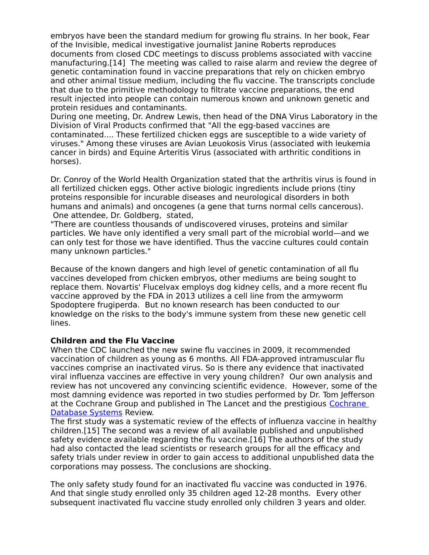embryos have been the standard medium for growing flu strains. In her book, Fear of the Invisible, medical investigative journalist Janine Roberts reproduces documents from closed CDC meetings to discuss problems associated with vaccine manufacturing.[14] The meeting was called to raise alarm and review the degree of genetic contamination found in vaccine preparations that rely on chicken embryo and other animal tissue medium, including the flu vaccine. The transcripts conclude that due to the primitive methodology to filtrate vaccine preparations, the end result injected into people can contain numerous known and unknown genetic and protein residues and contaminants.

During one meeting, Dr. Andrew Lewis, then head of the DNA Virus Laboratory in the Division of Viral Products confirmed that "All the egg-based vaccines are contaminated.... These fertilized chicken eggs are susceptible to a wide variety of viruses." Among these viruses are Avian Leuokosis Virus (associated with leukemia cancer in birds) and Equine Arteritis Virus (associated with arthritic conditions in horses).

Dr. Conroy of the World Health Organization stated that the arthritis virus is found in all fertilized chicken eggs. Other active biologic ingredients include prions (tiny proteins responsible for incurable diseases and neurological disorders in both humans and animals) and oncogenes (a gene that turns normal cells cancerous). One attendee, Dr. Goldberg, stated,

"There are countless thousands of undiscovered viruses, proteins and similar particles. We have only identified a very small part of the microbial world—and we can only test for those we have identified. Thus the vaccine cultures could contain many unknown particles."

Because of the known dangers and high level of genetic contamination of all flu vaccines developed from chicken embryos, other mediums are being sought to replace them. Novartis' Flucelvax employs dog kidney cells, and a more recent flu vaccine approved by the FDA in 2013 utilizes a cell line from the armyworm Spodoptere frugiperda. But no known research has been conducted to our knowledge on the risks to the body's immune system from these new genetic cell lines.

# **Children and the Flu Vaccine**

When the CDC launched the new swine flu vaccines in 2009, it recommended vaccination of children as young as 6 months. All FDA-approved intramuscular flu vaccines comprise an inactivated virus. So is there any evidence that inactivated viral influenza vaccines are effective in very young children? Our own analysis and review has not uncovered any convincing scientific evidence. However, some of the most damning evidence was reported in two studies performed by Dr. Tom Jefferson at the Cochrane Group and published in The Lancet and the prestigious [Cochrane](http://www.greenmedinfo.com/blog/shocking-lack-evidence-supporting-flu-vaccines)  [Database Systems](http://www.greenmedinfo.com/blog/shocking-lack-evidence-supporting-flu-vaccines) Review.

The first study was a systematic review of the effects of influenza vaccine in healthy children.[15] The second was a review of all available published and unpublished safety evidence available regarding the flu vaccine.[16] The authors of the study had also contacted the lead scientists or research groups for all the efficacy and safety trials under review in order to gain access to additional unpublished data the corporations may possess. The conclusions are shocking.

The only safety study found for an inactivated flu vaccine was conducted in 1976. And that single study enrolled only 35 children aged 12-28 months. Every other subsequent inactivated flu vaccine study enrolled only children 3 years and older.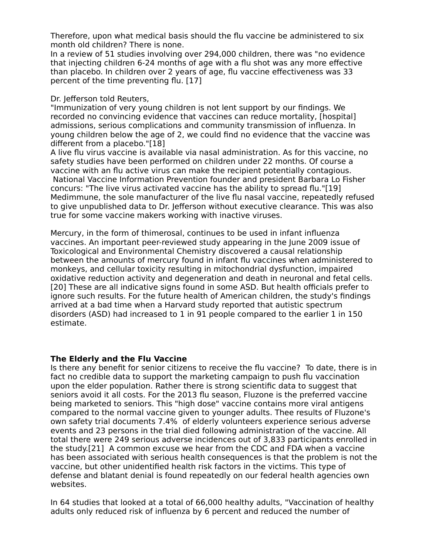Therefore, upon what medical basis should the flu vaccine be administered to six month old children? There is none.

In a review of 51 studies involving over 294,000 children, there was "no evidence that injecting children 6-24 months of age with a flu shot was any more effective than placebo. In children over 2 years of age, flu vaccine effectiveness was 33 percent of the time preventing flu. [17]

Dr. Jefferson told Reuters,

"Immunization of very young children is not lent support by our findings. We recorded no convincing evidence that vaccines can reduce mortality, [hospital] admissions, serious complications and community transmission of influenza. In young children below the age of 2, we could find no evidence that the vaccine was different from a placebo."[18]

A live flu virus vaccine is available via nasal administration. As for this vaccine, no safety studies have been performed on children under 22 months. Of course a vaccine with an flu active virus can make the recipient potentially contagious. National Vaccine Information Prevention founder and president Barbara Lo Fisher concurs: "The live virus activated vaccine has the ability to spread flu."[19] Medimmune, the sole manufacturer of the live flu nasal vaccine, repeatedly refused to give unpublished data to Dr. Jefferson without executive clearance. This was also true for some vaccine makers working with inactive viruses.

Mercury, in the form of thimerosal, continues to be used in infant influenza vaccines. An important peer-reviewed study appearing in the June 2009 issue of Toxicological and Environmental Chemistry discovered a causal relationship between the amounts of mercury found in infant flu vaccines when administered to monkeys, and cellular toxicity resulting in mitochondrial dysfunction, impaired oxidative reduction activity and degeneration and death in neuronal and fetal cells. [20] These are all indicative signs found in some ASD. But health officials prefer to ignore such results. For the future health of American children, the study's findings arrived at a bad time when a Harvard study reported that autistic spectrum disorders (ASD) had increased to 1 in 91 people compared to the earlier 1 in 150 estimate.

#### **The Elderly and the Flu Vaccine**

Is there any benefit for senior citizens to receive the flu vaccine? To date, there is in fact no credible data to support the marketing campaign to push flu vaccination upon the elder population. Rather there is strong scientific data to suggest that seniors avoid it all costs. For the 2013 flu season, Fluzone is the preferred vaccine being marketed to seniors. This "high dose" vaccine contains more viral antigens compared to the normal vaccine given to younger adults. Thee results of Fluzone's own safety trial documents 7.4% of elderly volunteers experience serious adverse events and 23 persons in the trial died following administration of the vaccine. All total there were 249 serious adverse incidences out of 3,833 participants enrolled in the study.[21] A common excuse we hear from the CDC and FDA when a vaccine has been associated with serious health consequences is that the problem is not the vaccine, but other unidentified health risk factors in the victims. This type of defense and blatant denial is found repeatedly on our federal health agencies own websites.

In 64 studies that looked at a total of 66,000 healthy adults, "Vaccination of healthy adults only reduced risk of influenza by 6 percent and reduced the number of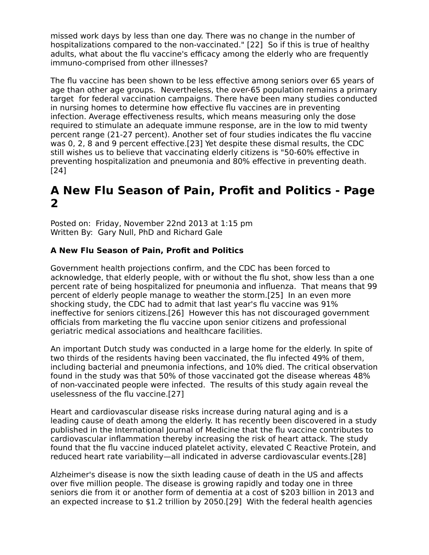missed work days by less than one day. There was no change in the number of hospitalizations compared to the non-vaccinated." [22] So if this is true of healthy adults, what about the flu vaccine's efficacy among the elderly who are frequently immuno-comprised from other illnesses?

The flu vaccine has been shown to be less effective among seniors over 65 years of age than other age groups. Nevertheless, the over-65 population remains a primary target for federal vaccination campaigns. There have been many studies conducted in nursing homes to determine how effective flu vaccines are in preventing infection. Average effectiveness results, which means measuring only the dose required to stimulate an adequate immune response, are in the low to mid twenty percent range (21-27 percent). Another set of four studies indicates the flu vaccine was 0, 2, 8 and 9 percent effective.[23] Yet despite these dismal results, the CDC still wishes us to believe that vaccinating elderly citizens is "50-60% effective in preventing hospitalization and pneumonia and 80% effective in preventing death. [24]

# **A New Flu Season of Pain, Profit and Politics - Page 2**

Posted on: Friday, November 22nd 2013 at 1:15 pm Written By: Gary Null, PhD and Richard Gale

# **A New Flu Season of Pain, Profit and Politics**

Government health projections confirm, and the CDC has been forced to acknowledge, that elderly people, with or without the flu shot, show less than a one percent rate of being hospitalized for pneumonia and influenza. That means that 99 percent of elderly people manage to weather the storm.[25] In an even more shocking study, the CDC had to admit that last year's flu vaccine was 91% ineffective for seniors citizens.[26] However this has not discouraged government officials from marketing the flu vaccine upon senior citizens and professional geriatric medical associations and healthcare facilities.

An important Dutch study was conducted in a large home for the elderly. In spite of two thirds of the residents having been vaccinated, the flu infected 49% of them, including bacterial and pneumonia infections, and 10% died. The critical observation found in the study was that 50% of those vaccinated got the disease whereas 48% of non-vaccinated people were infected. The results of this study again reveal the uselessness of the flu vaccine.[27]

Heart and cardiovascular disease risks increase during natural aging and is a leading cause of death among the elderly. It has recently been discovered in a study published in the International Journal of Medicine that the flu vaccine contributes to cardiovascular inflammation thereby increasing the risk of heart attack. The study found that the flu vaccine induced platelet activity, elevated C Reactive Protein, and reduced heart rate variability—all indicated in adverse cardiovascular events.[28]

Alzheimer's disease is now the sixth leading cause of death in the US and affects over five million people. The disease is growing rapidly and today one in three seniors die from it or another form of dementia at a cost of \$203 billion in 2013 and an expected increase to \$1.2 trillion by 2050.[29] With the federal health agencies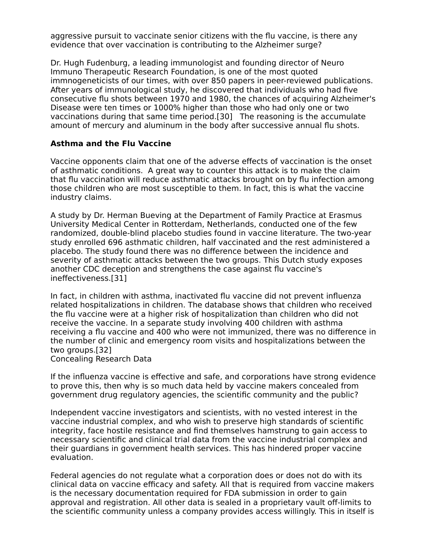aggressive pursuit to vaccinate senior citizens with the flu vaccine, is there any evidence that over vaccination is contributing to the Alzheimer surge?

Dr. Hugh Fudenburg, a leading immunologist and founding director of Neuro Immuno Therapeutic Research Foundation, is one of the most quoted immnogeneticists of our times, with over 850 papers in peer-reviewed publications. After years of immunological study, he discovered that individuals who had five consecutive flu shots between 1970 and 1980, the chances of acquiring Alzheimer's Disease were ten times or 1000% higher than those who had only one or two vaccinations during that same time period.[30] The reasoning is the accumulate amount of mercury and aluminum in the body after successive annual flu shots.

#### **Asthma and the Flu Vaccine**

Vaccine opponents claim that one of the adverse effects of vaccination is the onset of asthmatic conditions. A great way to counter this attack is to make the claim that flu vaccination will reduce asthmatic attacks brought on by flu infection among those children who are most susceptible to them. In fact, this is what the vaccine industry claims.

A study by Dr. Herman Bueving at the Department of Family Practice at Erasmus University Medical Center in Rotterdam, Netherlands, conducted one of the few randomized, double-blind placebo studies found in vaccine literature. The two-year study enrolled 696 asthmatic children, half vaccinated and the rest administered a placebo. The study found there was no difference between the incidence and severity of asthmatic attacks between the two groups. This Dutch study exposes another CDC deception and strengthens the case against flu vaccine's ineffectiveness.[31]

In fact, in children with asthma, inactivated flu vaccine did not prevent influenza related hospitalizations in children. The database shows that children who received the flu vaccine were at a higher risk of hospitalization than children who did not receive the vaccine. In a separate study involving 400 children with asthma receiving a flu vaccine and 400 who were not immunized, there was no difference in the number of clinic and emergency room visits and hospitalizations between the two groups.[32] Concealing Research Data

If the influenza vaccine is effective and safe, and corporations have strong evidence to prove this, then why is so much data held by vaccine makers concealed from government drug regulatory agencies, the scientific community and the public?

Independent vaccine investigators and scientists, with no vested interest in the vaccine industrial complex, and who wish to preserve high standards of scientific integrity, face hostile resistance and find themselves hamstrung to gain access to necessary scientific and clinical trial data from the vaccine industrial complex and their guardians in government health services. This has hindered proper vaccine evaluation.

Federal agencies do not regulate what a corporation does or does not do with its clinical data on vaccine efficacy and safety. All that is required from vaccine makers is the necessary documentation required for FDA submission in order to gain approval and registration. All other data is sealed in a proprietary vault off-limits to the scientific community unless a company provides access willingly. This in itself is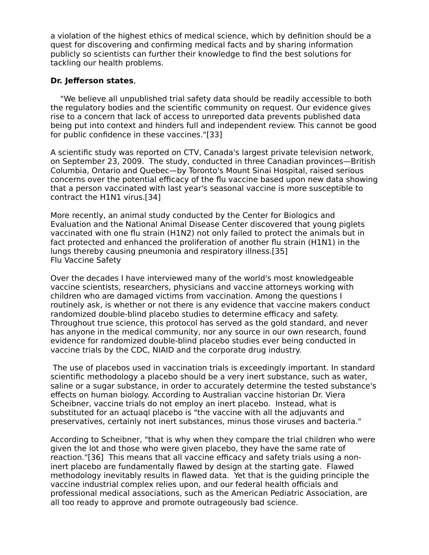a violation of the highest ethics of medical science, which by definition should be a quest for discovering and confirming medical facts and by sharing information publicly so scientists can further their knowledge to find the best solutions for tackling our health problems.

#### **Dr. Jefferson states**,

 "We believe all unpublished trial safety data should be readily accessible to both the regulatory bodies and the scientific community on request. Our evidence gives rise to a concern that lack of access to unreported data prevents published data being put into context and hinders full and independent review. This cannot be good for public confidence in these vaccines."[33]

A scientific study was reported on CTV, Canada's largest private television network, on September 23, 2009. The study, conducted in three Canadian provinces—British Columbia, Ontario and Quebec—by Toronto's Mount Sinai Hospital, raised serious concerns over the potential efficacy of the flu vaccine based upon new data showing that a person vaccinated with last year's seasonal vaccine is more susceptible to contract the H1N1 virus.[34]

More recently, an animal study conducted by the Center for Biologics and Evaluation and the National Animal Disease Center discovered that young piglets vaccinated with one flu strain (H1N2) not only failed to protect the animals but in fact protected and enhanced the proliferation of another flu strain (H1N1) in the lungs thereby causing pneumonia and respiratory illness.[35] Flu Vaccine Safety

Over the decades I have interviewed many of the world's most knowledgeable vaccine scientists, researchers, physicians and vaccine attorneys working with children who are damaged victims from vaccination. Among the questions I routinely ask, is whether or not there is any evidence that vaccine makers conduct randomized double-blind placebo studies to determine efficacy and safety. Throughout true science, this protocol has served as the gold standard, and never has anyone in the medical community, nor any source in our own research, found evidence for randomized double-blind placebo studies ever being conducted in vaccine trials by the CDC, NIAID and the corporate drug industry.

 The use of placebos used in vaccination trials is exceedingly important. In standard scientific methodology a placebo should be a very inert substance, such as water, saline or a sugar substance, in order to accurately determine the tested substance's effects on human biology. According to Australian vaccine historian Dr. Viera Scheibner, vaccine trials do not employ an inert placebo. Instead, what is substituted for an actuaql placebo is "the vaccine with all the adjuvants and preservatives, certainly not inert substances, minus those viruses and bacteria."

According to Scheibner, "that is why when they compare the trial children who were given the lot and those who were given placebo, they have the same rate of reaction."[36] This means that all vaccine efficacy and safety trials using a noninert placebo are fundamentally flawed by design at the starting gate. Flawed methodology inevitably results in flawed data. Yet that is the guiding principle the vaccine industrial complex relies upon, and our federal health officials and professional medical associations, such as the American Pediatric Association, are all too ready to approve and promote outrageously bad science.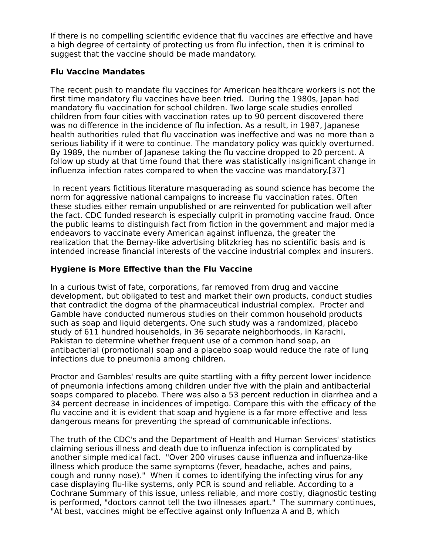If there is no compelling scientific evidence that flu vaccines are effective and have a high degree of certainty of protecting us from flu infection, then it is criminal to suggest that the vaccine should be made mandatory.

# **Flu Vaccine Mandates**

The recent push to mandate flu vaccines for American healthcare workers is not the first time mandatory flu vaccines have been tried. During the 1980s, Japan had mandatory flu vaccination for school children. Two large scale studies enrolled children from four cities with vaccination rates up to 90 percent discovered there was no difference in the incidence of flu infection. As a result, in 1987, Japanese health authorities ruled that flu vaccination was ineffective and was no more than a serious liability if it were to continue. The mandatory policy was quickly overturned. By 1989, the number of Japanese taking the flu vaccine dropped to 20 percent. A follow up study at that time found that there was statistically insignificant change in influenza infection rates compared to when the vaccine was mandatory.[37]

 In recent years fictitious literature masquerading as sound science has become the norm for aggressive national campaigns to increase flu vaccination rates. Often these studies either remain unpublished or are reinvented for publication well after the fact. CDC funded research is especially culprit in promoting vaccine fraud. Once the public learns to distinguish fact from fiction in the government and major media endeavors to vaccinate every American against influenza, the greater the realization that the Bernay-like advertising blitzkrieg has no scientific basis and is intended increase financial interests of the vaccine industrial complex and insurers.

# **Hygiene is More Effective than the Flu Vaccine**

In a curious twist of fate, corporations, far removed from drug and vaccine development, but obligated to test and market their own products, conduct studies that contradict the dogma of the pharmaceutical industrial complex. Procter and Gamble have conducted numerous studies on their common household products such as soap and liquid detergents. One such study was a randomized, placebo study of 611 hundred households, in 36 separate neighborhoods, in Karachi, Pakistan to determine whether frequent use of a common hand soap, an antibacterial (promotional) soap and a placebo soap would reduce the rate of lung infections due to pneumonia among children.

Proctor and Gambles' results are quite startling with a fifty percent lower incidence of pneumonia infections among children under five with the plain and antibacterial soaps compared to placebo. There was also a 53 percent reduction in diarrhea and a 34 percent decrease in incidences of impetigo. Compare this with the efficacy of the flu vaccine and it is evident that soap and hygiene is a far more effective and less dangerous means for preventing the spread of communicable infections.

The truth of the CDC's and the Department of Health and Human Services' statistics claiming serious illness and death due to influenza infection is complicated by another simple medical fact. "Over 200 viruses cause influenza and influenza-like illness which produce the same symptoms (fever, headache, aches and pains, cough and runny nose)." When it comes to identifying the infecting virus for any case displaying flu-like systems, only PCR is sound and reliable. According to a Cochrane Summary of this issue, unless reliable, and more costly, diagnostic testing is performed, "doctors cannot tell the two illnesses apart." The summary continues, "At best, vaccines might be effective against only Influenza A and B, which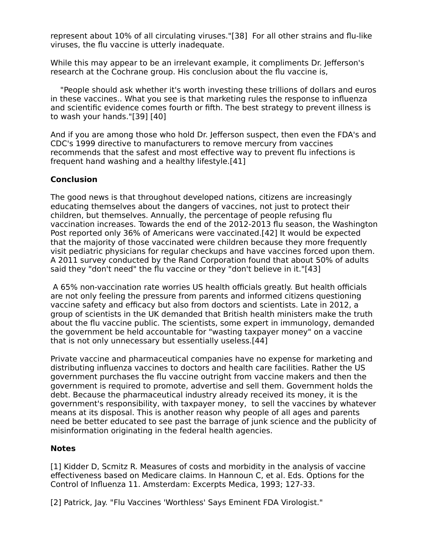represent about 10% of all circulating viruses."[38] For all other strains and flu-like viruses, the flu vaccine is utterly inadequate.

While this may appear to be an irrelevant example, it compliments Dr. Jefferson's research at the Cochrane group. His conclusion about the flu vaccine is,

 "People should ask whether it's worth investing these trillions of dollars and euros in these vaccines.. What you see is that marketing rules the response to influenza and scientific evidence comes fourth or fifth. The best strategy to prevent illness is to wash your hands."[39] [40]

And if you are among those who hold Dr. Jefferson suspect, then even the FDA's and CDC's 1999 directive to manufacturers to remove mercury from vaccines recommends that the safest and most effective way to prevent flu infections is frequent hand washing and a healthy lifestyle.[41]

# **Conclusion**

The good news is that throughout developed nations, citizens are increasingly educating themselves about the dangers of vaccines, not just to protect their children, but themselves. Annually, the percentage of people refusing flu vaccination increases. Towards the end of the 2012-2013 flu season, the Washington Post reported only 36% of Americans were vaccinated.[42] It would be expected that the majority of those vaccinated were children because they more frequently visit pediatric physicians for regular checkups and have vaccines forced upon them. A 2011 survey conducted by the Rand Corporation found that about 50% of adults said they "don't need" the flu vaccine or they "don't believe in it."[43]

 A 65% non-vaccination rate worries US health officials greatly. But health officials are not only feeling the pressure from parents and informed citizens questioning vaccine safety and efficacy but also from doctors and scientists. Late in 2012, a group of scientists in the UK demanded that British health ministers make the truth about the flu vaccine public. The scientists, some expert in immunology, demanded the government be held accountable for "wasting taxpayer money" on a vaccine that is not only unnecessary but essentially useless.[44]

Private vaccine and pharmaceutical companies have no expense for marketing and distributing influenza vaccines to doctors and health care facilities. Rather the US government purchases the flu vaccine outright from vaccine makers and then the government is required to promote, advertise and sell them. Government holds the debt. Because the pharmaceutical industry already received its money, it is the government's responsibility, with taxpayer money, to sell the vaccines by whatever means at its disposal. This is another reason why people of all ages and parents need be better educated to see past the barrage of junk science and the publicity of misinformation originating in the federal health agencies.

#### **Notes**

[1] Kidder D, Scmitz R. Measures of costs and morbidity in the analysis of vaccine effectiveness based on Medicare claims. In Hannoun C, et al. Eds. Options for the Control of Influenza 11. Amsterdam: Excerpts Medica, 1993; 127-33.

[2] Patrick, Jay. "Flu Vaccines 'Worthless' Says Eminent FDA Virologist."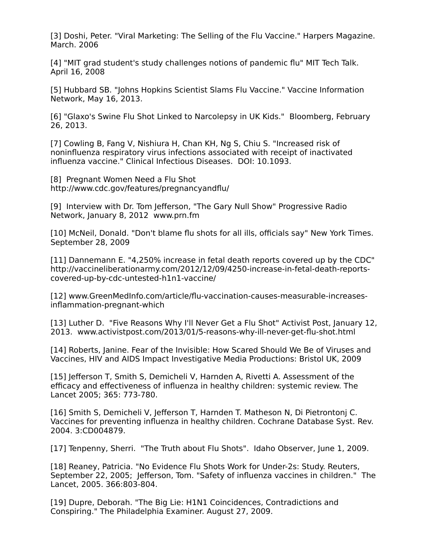[3] Doshi, Peter. "Viral Marketing: The Selling of the Flu Vaccine." Harpers Magazine. March. 2006

[4] "MIT grad student's study challenges notions of pandemic flu" MIT Tech Talk. April 16, 2008

[5] Hubbard SB. "Johns Hopkins Scientist Slams Flu Vaccine." Vaccine Information Network, May 16, 2013.

[6] "Glaxo's Swine Flu Shot Linked to Narcolepsy in UK Kids." Bloomberg, February 26, 2013.

[7] Cowling B, Fang V, Nishiura H, Chan KH, Ng S, Chiu S. "Increased risk of noninfluenza respiratory virus infections associated with receipt of inactivated influenza vaccine." Clinical Infectious Diseases. DOI: 10.1093.

[8] Pregnant Women Need a Flu Shot http://www.cdc.gov/features/pregnancyandflu/

[9] Interview with Dr. Tom Jefferson, "The Gary Null Show" Progressive Radio Network, January 8, 2012 www.prn.fm

[10] McNeil, Donald. "Don't blame flu shots for all ills, officials say" New York Times. September 28, 2009

[11] Dannemann E. "4,250% increase in fetal death reports covered up by the CDC" http://vaccineliberationarmy.com/2012/12/09/4250-increase-in-fetal-death-reportscovered-up-by-cdc-untested-h1n1-vaccine/

[12] www.GreenMedInfo.com/article/flu-vaccination-causes-measurable-increasesinflammation-pregnant-which

[13] Luther D. "Five Reasons Why I'll Never Get a Flu Shot" Activist Post, January 12, 2013. www.activistpost.com/2013/01/5-reasons-why-ill-never-get-flu-shot.html

[14] Roberts, Janine. Fear of the Invisible: How Scared Should We Be of Viruses and Vaccines, HIV and AIDS Impact Investigative Media Productions: Bristol UK, 2009

[15] Jefferson T, Smith S, Demicheli V, Harnden A, Rivetti A. Assessment of the efficacy and effectiveness of influenza in healthy children: systemic review. The Lancet 2005; 365: 773-780.

[16] Smith S, Demicheli V, Jefferson T, Harnden T. Matheson N, Di Pietrontonj C. Vaccines for preventing influenza in healthy children. Cochrane Database Syst. Rev. 2004. 3:CD004879.

[17] Tenpenny, Sherri. "The Truth about Flu Shots". Idaho Observer, June 1, 2009.

[18] Reaney, Patricia. "No Evidence Flu Shots Work for Under-2s: Study. Reuters, September 22, 2005; Jefferson, Tom. "Safety of influenza vaccines in children." The Lancet, 2005. 366:803-804.

[19] Dupre, Deborah. "The Big Lie: H1N1 Coincidences, Contradictions and Conspiring." The Philadelphia Examiner. August 27, 2009.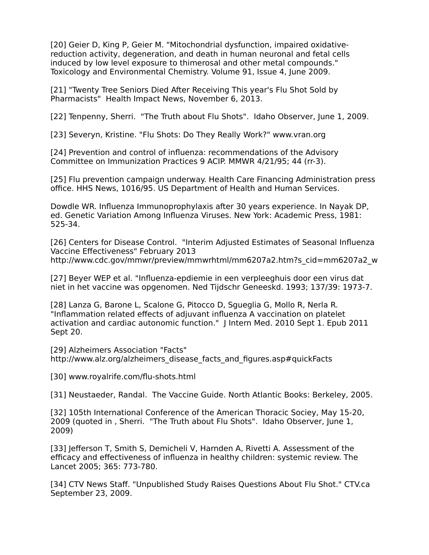[20] Geier D, King P, Geier M. "Mitochondrial dysfunction, impaired oxidativereduction activity, degeneration, and death in human neuronal and fetal cells induced by low level exposure to thimerosal and other metal compounds." Toxicology and Environmental Chemistry. Volume 91, Issue 4, June 2009.

[21] "Twenty Tree Seniors Died After Receiving This year's Flu Shot Sold by Pharmacists" Health Impact News, November 6, 2013.

[22] Tenpenny, Sherri. "The Truth about Flu Shots". Idaho Observer, June 1, 2009.

[23] Severyn, Kristine. "Flu Shots: Do They Really Work?" www.vran.org

[24] Prevention and control of influenza: recommendations of the Advisory Committee on Immunization Practices 9 ACIP. MMWR 4/21/95; 44 (rr-3).

[25] Flu prevention campaign underway. Health Care Financing Administration press office. HHS News, 1016/95. US Department of Health and Human Services.

Dowdle WR. Influenza Immunoprophylaxis after 30 years experience. In Nayak DP, ed. Genetic Variation Among Influenza Viruses. New York: Academic Press, 1981: 525-34.

[26] Centers for Disease Control. "Interim Adjusted Estimates of Seasonal Influenza Vaccine Effectiveness" February 2013 http://www.cdc.gov/mmwr/preview/mmwrhtml/mm6207a2.htm?s\_cid=mm6207a2\_w

[27] Beyer WEP et al. "Influenza-epdiemie in een verpleeghuis door een virus dat niet in het vaccine was opgenomen. Ned Tijdschr Geneeskd. 1993; 137/39: 1973-7.

[28] Lanza G, Barone L, Scalone G, Pitocco D, Sgueglia G, Mollo R, Nerla R. "Inflammation related effects of adjuvant influenza A vaccination on platelet activation and cardiac autonomic function." J Intern Med. 2010 Sept 1. Epub 2011 Sept 20.

[29] Alzheimers Association "Facts"

http://www.alz.org/alzheimers\_disease\_facts\_and\_figures.asp#quickFacts

[30] www.royalrife.com/flu-shots.html

[31] Neustaeder, Randal. The Vaccine Guide. North Atlantic Books: Berkeley, 2005.

[32] 105th International Conference of the American Thoracic Sociey, May 15-20, 2009 (quoted in , Sherri. "The Truth about Flu Shots". Idaho Observer, June 1, 2009)

[33] Jefferson T, Smith S, Demicheli V, Harnden A, Rivetti A. Assessment of the efficacy and effectiveness of influenza in healthy children: systemic review. The Lancet 2005; 365: 773-780.

[34] CTV News Staff. "Unpublished Study Raises Questions About Flu Shot." CTV.ca September 23, 2009.